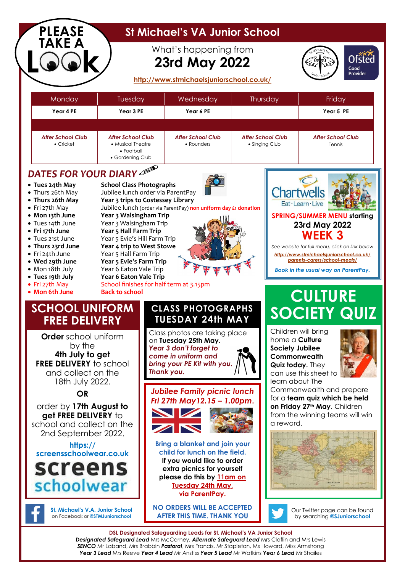| <b>PLEASE</b><br>TAKE A                                                                                                                                                                                                                                   |                                                                                                                                                                                                                                                                                                                                                             | What's happening from<br><b>23rd May 2022</b>                                                                                                                                                                     |          |                                                                                  |                                                                                                                                                                                                                                                                                      | Ofsted<br>Good<br><b>Provider</b> |
|-----------------------------------------------------------------------------------------------------------------------------------------------------------------------------------------------------------------------------------------------------------|-------------------------------------------------------------------------------------------------------------------------------------------------------------------------------------------------------------------------------------------------------------------------------------------------------------------------------------------------------------|-------------------------------------------------------------------------------------------------------------------------------------------------------------------------------------------------------------------|----------|----------------------------------------------------------------------------------|--------------------------------------------------------------------------------------------------------------------------------------------------------------------------------------------------------------------------------------------------------------------------------------|-----------------------------------|
|                                                                                                                                                                                                                                                           |                                                                                                                                                                                                                                                                                                                                                             | http://www.stmichaelsjuniorschool.co.uk/                                                                                                                                                                          |          |                                                                                  |                                                                                                                                                                                                                                                                                      |                                   |
| Monday                                                                                                                                                                                                                                                    | Tuesday                                                                                                                                                                                                                                                                                                                                                     | Wednesday                                                                                                                                                                                                         | Thursday |                                                                                  | Friday                                                                                                                                                                                                                                                                               |                                   |
| Year 4 PE                                                                                                                                                                                                                                                 | Year 3 PE                                                                                                                                                                                                                                                                                                                                                   | Year 6 PE                                                                                                                                                                                                         |          |                                                                                  | Year 5 PE                                                                                                                                                                                                                                                                            |                                   |
| <b>After School Club</b><br>• Cricket                                                                                                                                                                                                                     | <b>After School Club</b><br>• Musical Theatre<br>• Football<br>• Gardening Club                                                                                                                                                                                                                                                                             | <b>After School Club</b><br>• Rounders                                                                                                                                                                            |          | <b>After School Club</b><br><b>After School Club</b><br>• Singing Club<br>Tennis |                                                                                                                                                                                                                                                                                      |                                   |
| • Tues 24th May<br>• Thurs 26th May<br>• Thurs 26th May<br>• Fri 27th May<br>• Mon 13th June<br>• Tues 14th June<br>• Fri 17th June<br>• Tues 21st June<br>• Thurs 23rd June<br>• Fri 24th June<br>• Wed 29th June<br>• Mon 18th July<br>• Tues 19th July | <b>School Class Photographs</b><br>Jubilee lunch order via ParentPay<br>Year 3 trips to Costessey Library<br>Year 3 Walsingham Trip<br>Year 3 Walsingham Trip<br>Year 5 Hall Farm Trip<br>Year 5 Evie's Hill Farm Trip<br>Year 4 trip to West Stowe<br>Year 5 Hall Farm Trip<br>Year 5 Evie's Farm Trip<br>Year 6 Eaton Vale Trip<br>Year 6 Eaton Vale Trip | Jubilee lunch (order via ParentPay) non uniform day £1 donation                                                                                                                                                   |          |                                                                                  | <b>Chartwells</b><br>Eat · Learn · Live<br><b>SPRING/SUMMER MENU starting</b><br>23rd May 2022<br><b>WEEK 3</b><br>See website for full menu, click on link below<br>http://www.stmichaelsjuniorschool.co.uk/<br>parents-carers/school-meals/<br>Book in the usual way on ParentPay. |                                   |
| • Fri 27th May<br>• Mon 6th June<br><b>SCHOOL UNIFORM</b><br><b>REE DELIVERY</b><br><b>Order</b> school uniform<br>by the                                                                                                                                 | <b>Back to school</b>                                                                                                                                                                                                                                                                                                                                       | School finishes for half term at 3.15pm<br><b>CLASS PHOTOGRAPHS</b><br><b>TUESDAY 24th MAY</b><br>Class photos are taking place<br>on Tuesday 25th May.<br>Year 3 don't forget to                                 |          | home a <b>Culture</b><br><b>Society Jubilee</b>                                  | <b>CULTURE</b><br><b>SOCIETY QUIZ</b><br>Children will bring                                                                                                                                                                                                                         |                                   |
| 4th July to get<br><b>FREE DELIVERY</b> to school<br>and collect on the<br>18th July 2022.<br><b>OR</b>                                                                                                                                                   |                                                                                                                                                                                                                                                                                                                                                             | come in uniform and<br>bring your PE Kit with you.<br>Thank you.<br><b>Jubilee Family picnic lunch</b><br>Fri 27th May 12.15 - 1.00pm.                                                                            |          |                                                                                  | Commonwealth<br>Quiz today. They<br>can use this sheet to<br>learn about The<br>Commonwealth and prepare<br>for a team quiz which be held                                                                                                                                            |                                   |
| order by 17th August to<br>get FREE DELIVERY to<br>school and collect on the<br>2nd September 2022.<br>https://<br>screensschoolwegr.co.uk<br>screens                                                                                                     |                                                                                                                                                                                                                                                                                                                                                             | on Friday 27th May. Children<br>from the winning teams will win<br>a reward.<br><b>Bring a blanket and join your</b><br>child for lunch on the field.<br>If you would like to order<br>extra picnics for yourself |          |                                                                                  |                                                                                                                                                                                                                                                                                      |                                   |
| schoolwear                                                                                                                                                                                                                                                |                                                                                                                                                                                                                                                                                                                                                             | please do this by 11am on<br><b>Tuesday 24th May,</b><br>via ParentPay.                                                                                                                                           |          |                                                                                  |                                                                                                                                                                                                                                                                                      |                                   |
| St. Michael's V.A. Junior School<br>on Facebook or @STMJuniorschool                                                                                                                                                                                       |                                                                                                                                                                                                                                                                                                                                                             | <b>NO ORDERS WILL BE ACCEPTED</b><br><b>AFTER THIS TIME. THANK YOU</b>                                                                                                                                            |          | Our Twitter page can be found<br>by searching @SJuniorschool                     |                                                                                                                                                                                                                                                                                      |                                   |

*SENCO* Mr Laband, Mrs Brabbin *Pastoral*, Mrs Francis, Mr Stapleton, Ms Howard, Miss Armstrong *Year 3 Lead* Mrs Reeve *Year 4 Lead* Mr Anstiss *Year 5 Lead* Mr Watkins *Year 6 Lead* Mr Shailes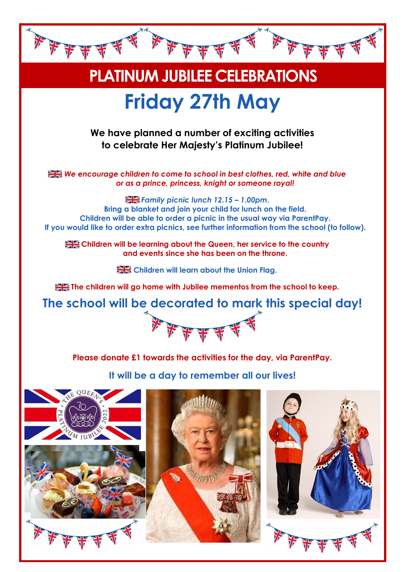